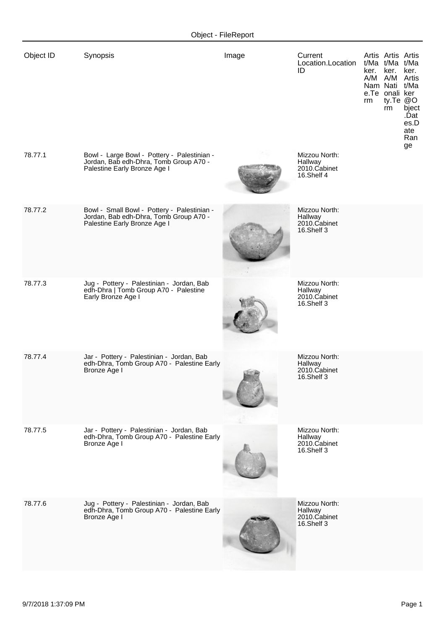| Object ID | Synopsis                                                                                                              | Image | Current<br>Location.Location<br>ID                     | Artis Artis Artis<br>t/Ma t/Ma t/Ma<br>ker.<br>ker.<br>ker.<br>A/M A/M Artis<br>Nam Nati t/Ma<br>e.Te onali ker<br>ty.Te @O<br>rm<br>bject<br>rm<br>.Ďat<br>es.D<br>ate<br>Ran<br>ge |
|-----------|-----------------------------------------------------------------------------------------------------------------------|-------|--------------------------------------------------------|--------------------------------------------------------------------------------------------------------------------------------------------------------------------------------------|
| 78.77.1   | Bowl - Large Bowl - Pottery - Palestinian -<br>Jordan, Bab edh-Dhra, Tomb Group A70 -<br>Palestine Early Bronze Age I |       | Mizzou North:<br>Hallway<br>2010.Cabinet<br>16.Shelf 4 |                                                                                                                                                                                      |
| 78.77.2   | Bowl - Small Bowl - Pottery - Palestinian -<br>Jordan, Bab edh-Dhra, Tomb Group A70 -<br>Palestine Early Bronze Age I |       | Mizzou North:<br>Hallway<br>2010.Cabinet<br>16.Shelf 3 |                                                                                                                                                                                      |
| 78.77.3   | Jug - Pottery - Palestinian - Jordan, Bab<br>edh-Dhra   Tomb Group A70 - Palestine<br>Early Bronze Age I              |       | Mizzou North:<br>Hallway<br>2010.Cabinet<br>16.Shelf 3 |                                                                                                                                                                                      |
| 78.77.4   | Jar - Pottery - Palestinian - Jordan, Bab<br>edh-Dhra, Tomb Group A70 - Palestine Early<br>Bronze Age I               |       | Mizzou North:<br>Hallway<br>2010.Cabinet<br>16.Shelf 3 |                                                                                                                                                                                      |
| 78.77.5   | Jar - Pottery - Palestinian - Jordan, Bab<br>edh-Dhra, Tomb Group A70 - Palestine Early<br>Bronze Age I               |       | Mizzou North:<br>Hallway<br>2010.Cabinet<br>16.Shelf 3 |                                                                                                                                                                                      |
| 78.77.6   | Jug - Pottery - Palestinian - Jordan, Bab<br>edh-Dhra, Tomb Group A70 - Palestine Early<br>Bronze Age I               |       | Mizzou North:<br>Hallway<br>2010.Cabinet<br>16.Shelf 3 |                                                                                                                                                                                      |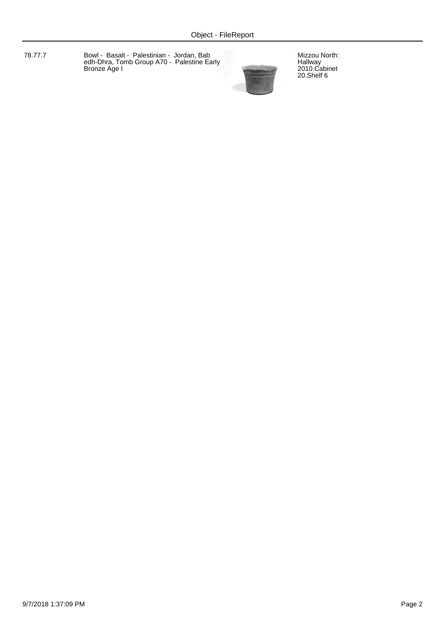78.77.7 Bowl - Basalt - Palestinian - Jordan, Bab edh-Dhra, Tomb Group A70 - Palestine Early Bronze Age I



Mizzou North: Hallway 2010.Cabinet 20.Shelf 6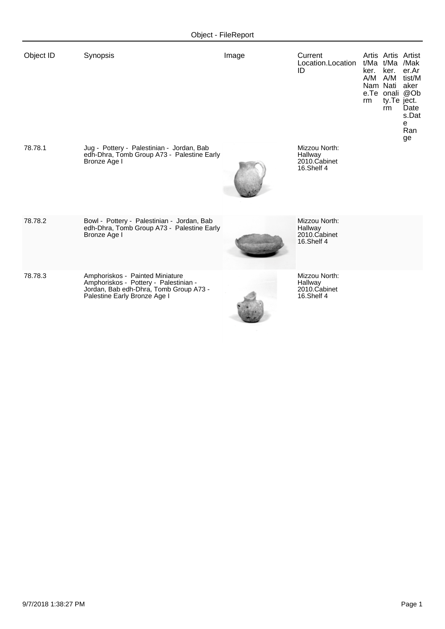| Object ID | Synopsis                                                                                                                                           | Image | Current<br>Location.Location<br>ID                     | ker.<br>rm | t/Ma t/Ma /Mak<br>ker.<br>Nam Nati aker<br>ty.Te ject.<br>rm | Artis Artis Artist<br>er.Ar<br>A/M A/M tist/M<br>e.Te onali @Ob<br>Date<br>s.Dat<br>e<br>Ran<br>ge |
|-----------|----------------------------------------------------------------------------------------------------------------------------------------------------|-------|--------------------------------------------------------|------------|--------------------------------------------------------------|----------------------------------------------------------------------------------------------------|
| 78.78.1   | Jug - Pottery - Palestinian - Jordan, Bab<br>edh-Dhra, Tomb Group A73 - Palestine Early<br>Bronze Age I                                            |       | Mizzou North:<br>Hallway<br>2010.Cabinet<br>16.Shelf 4 |            |                                                              |                                                                                                    |
| 78.78.2   | Bowl - Pottery - Palestinian - Jordan, Bab<br>edh-Dhra, Tomb Group A73 - Palestine Early<br>Bronze Age I                                           |       | Mizzou North:<br>Hallway<br>2010.Cabinet<br>16.Shelf 4 |            |                                                              |                                                                                                    |
| 78.78.3   | Amphoriskos - Painted Miniature<br>Amphoriskos - Pottery - Palestinian -<br>Jordan, Bab edh-Dhra, Tomb Group A73 -<br>Palestine Early Bronze Age I |       | Mizzou North:<br>Hallway<br>2010.Cabinet<br>16.Shelf 4 |            |                                                              |                                                                                                    |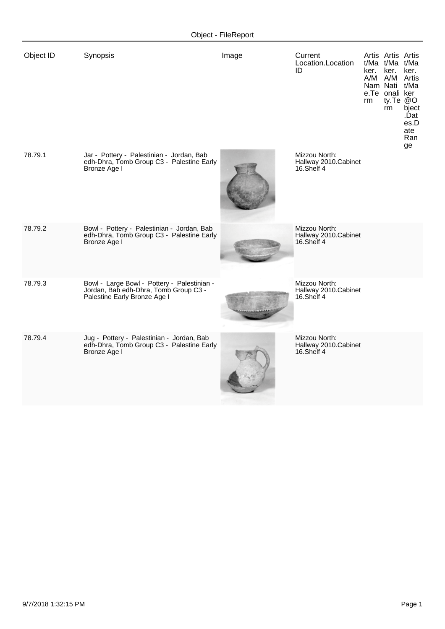| Object ID | Synopsis                                                                                                             | Image | Current<br>Location.Location<br>ID                  | ker.<br>rm | Artis Artis Artis<br>t/Ma t/Ma t/Ma<br>ker.<br>A/M A/M Artis<br>Nam Nati t/Ma<br>e.Te onali ker<br>ty.Te @O<br>rm | ker.<br>bject<br>.Ďat<br>es.D<br>ate<br>Ran<br>ge |
|-----------|----------------------------------------------------------------------------------------------------------------------|-------|-----------------------------------------------------|------------|-------------------------------------------------------------------------------------------------------------------|---------------------------------------------------|
| 78.79.1   | Jar - Pottery - Palestinian - Jordan, Bab<br>edh-Dhra, Tomb Group C3 - Palestine Early<br>Bronze Age I               |       | Mizzou North:<br>Hallway 2010.Cabinet<br>16.Shelf 4 |            |                                                                                                                   |                                                   |
| 78.79.2   | Bowl - Pottery - Palestinian - Jordan, Bab<br>edh-Dhra, Tomb Group C3 - Palestine Early<br>Bronze Age I              |       | Mizzou North:<br>Hallway 2010.Cabinet<br>16.Shelf 4 |            |                                                                                                                   |                                                   |
| 78.79.3   | Bowl - Large Bowl - Pottery - Palestinian -<br>Jordan, Bab edh-Dhra, Tomb Group C3 -<br>Palestine Early Bronze Age I |       | Mizzou North:<br>Hallway 2010.Cabinet<br>16.Shelf 4 |            |                                                                                                                   |                                                   |
| 78.79.4   | Jug - Pottery - Palestinian - Jordan, Bab<br>edh-Dhra, Tomb Group C3 - Palestine Early<br>Bronze Age I               |       | Mizzou North:<br>Hallway 2010.Cabinet<br>16.Shelf 4 |            |                                                                                                                   |                                                   |